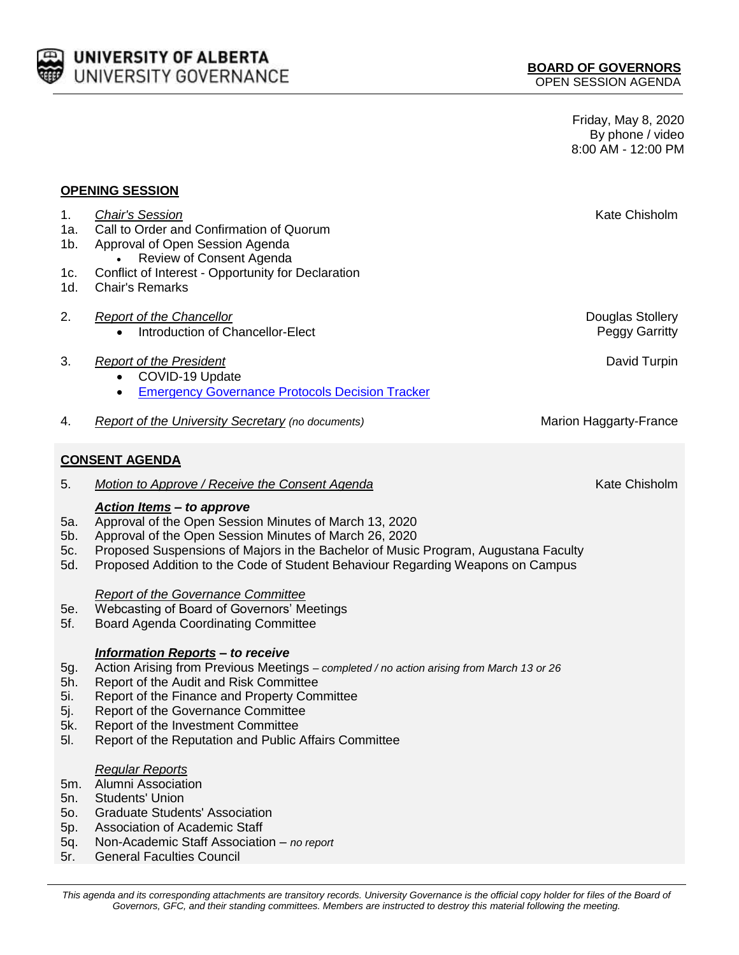

Friday, May 8, 2020 By phone / video 8:00 AM - 12:00 PM

#### **OPENING SESSION**

| 1.                    | <b>Chair's Session</b>                                          | Kate Chisholm          |
|-----------------------|-----------------------------------------------------------------|------------------------|
| 1a.                   | Call to Order and Confirmation of Quorum                        |                        |
| 1b.                   | Approval of Open Session Agenda<br>Review of Consent Agenda     |                        |
| 1c.                   | $\bullet$<br>Conflict of Interest - Opportunity for Declaration |                        |
| 1d.                   | <b>Chair's Remarks</b>                                          |                        |
|                       |                                                                 |                        |
| 2.                    | <b>Report of the Chancellor</b>                                 | Douglas Stollery       |
|                       | Introduction of Chancellor-Elect<br>٠                           | <b>Peggy Garritty</b>  |
|                       |                                                                 |                        |
| 3.                    | <b>Report of the President</b>                                  | David Turpin           |
|                       | COVID-19 Update<br>$\bullet$                                    |                        |
|                       | <b>Emergency Governance Protocols Decision Tracker</b><br>٠     |                        |
|                       |                                                                 |                        |
| 4.                    | Report of the University Secretary (no documents)               | Marion Haggarty-France |
|                       |                                                                 |                        |
| <b>CONSENT AGENDA</b> |                                                                 |                        |
|                       |                                                                 |                        |
| 5.                    | Motion to Approve / Receive the Consent Agenda                  | Kate Chisholm          |
|                       | Action Items - to approve                                       |                        |

- 5a. Approval of the Open Session Minutes of March 13, 2020
- 5b. Approval of the Open Session Minutes of March 26, 2020
- 5c. Proposed Suspensions of Majors in the Bachelor of Music Program, Augustana Faculty
- 5d. Proposed Addition to the Code of Student Behaviour Regarding Weapons on Campus

#### *Report of the Governance Committee*

- 5e. Webcasting of Board of Governors' Meetings
- 5f. Board Agenda Coordinating Committee

## *Information Reports – to receive*

- 5g. Action Arising from Previous Meetings *– completed / no action arising from March 13 or 26*
- 5h. Report of the Audit and Risk Committee
- 5i. Report of the Finance and Property Committee
- 5j. Report of the Governance Committee
- 5k. Report of the Investment Committee
- 5l. Report of the Reputation and Public Affairs Committee

# *Regular Reports*

- 5m. Alumni Association
- 5n. Students' Union
- 5o. Graduate Students' Association
- 5p. Association of Academic Staff
- 5q. Non-Academic Staff Association *no report*
- 5r. General Faculties Council